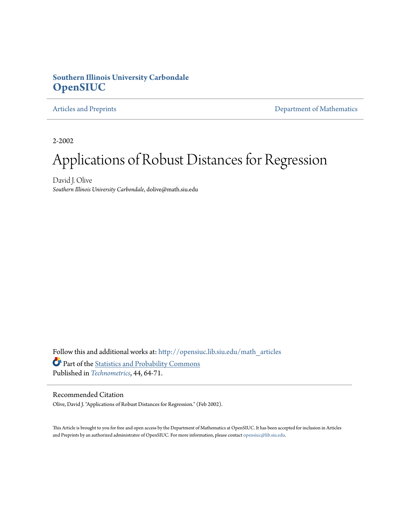#### **Southern Illinois University Carbondale [OpenSIUC](http://opensiuc.lib.siu.edu?utm_source=opensiuc.lib.siu.edu%2Fmath_articles%2F8&utm_medium=PDF&utm_campaign=PDFCoverPages)**

[Articles and Preprints](http://opensiuc.lib.siu.edu/math_articles?utm_source=opensiuc.lib.siu.edu%2Fmath_articles%2F8&utm_medium=PDF&utm_campaign=PDFCoverPages) **[Department of Mathematics](http://opensiuc.lib.siu.edu/math?utm_source=opensiuc.lib.siu.edu%2Fmath_articles%2F8&utm_medium=PDF&utm_campaign=PDFCoverPages)** 

2-2002

# Applications of Robust Distances for Regression

David J. Olive *Southern Illinois University Carbondale*, dolive@math.siu.edu

Follow this and additional works at: [http://opensiuc.lib.siu.edu/math\\_articles](http://opensiuc.lib.siu.edu/math_articles?utm_source=opensiuc.lib.siu.edu%2Fmath_articles%2F8&utm_medium=PDF&utm_campaign=PDFCoverPages) Part of the [Statistics and Probability Commons](http://network.bepress.com/hgg/discipline/208?utm_source=opensiuc.lib.siu.edu%2Fmath_articles%2F8&utm_medium=PDF&utm_campaign=PDFCoverPages) Published in *[Technometrics](http://www.amstat.org/publications/TECH/index.cfm?fuseaction=main)*, 44, 64-71.

#### Recommended Citation

Olive, David J. "Applications of Robust Distances for Regression." (Feb 2002).

This Article is brought to you for free and open access by the Department of Mathematics at OpenSIUC. It has been accepted for inclusion in Articles and Preprints by an authorized administrator of OpenSIUC. For more information, please contact [opensiuc@lib.siu.edu](mailto:opensiuc@lib.siu.edu).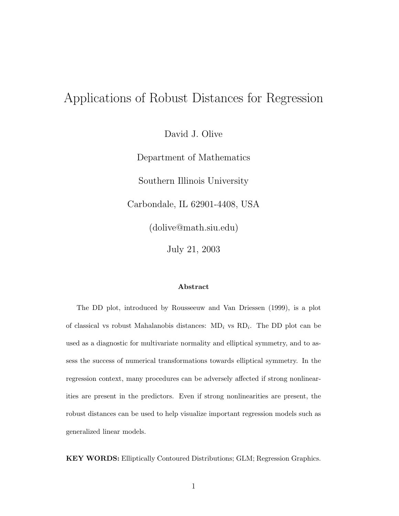## Applications of Robust Distances for Regression

David J. Olive

Department of Mathematics Southern Illinois University Carbondale, IL 62901-4408, USA (dolive@math.siu.edu) July 21, 2003

#### **Abstract**

The DD plot, introduced by Rousseeuw and Van Driessen (1999), is a plot of classical vs robust Mahalanobis distances: MD*<sup>i</sup>* vs RD*i*. The DD plot can be used as a diagnostic for multivariate normality and elliptical symmetry, and to assess the success of numerical transformations towards elliptical symmetry. In the regression context, many procedures can be adversely affected if strong nonlinearities are present in the predictors. Even if strong nonlinearities are present, the robust distances can be used to help visualize important regression models such as generalized linear models.

**KEY WORDS:** Elliptically Contoured Distributions; GLM; Regression Graphics.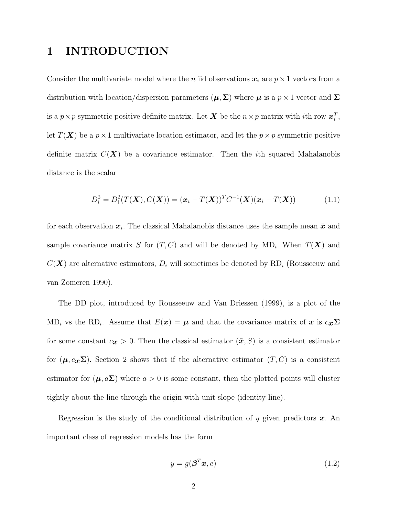### **1 INTRODUCTION**

Consider the multivariate model where the *n* iid observations  $x_i$  are  $p \times 1$  vectors from a distribution with location/dispersion parameters  $(\mu, \Sigma)$  where  $\mu$  is a  $p \times 1$  vector and  $\Sigma$ is a  $p \times p$  symmetric positive definite matrix. Let *X* be the  $n \times p$  matrix with *i*th row  $x_i^T$ , let  $T(X)$  be a  $p \times 1$  multivariate location estimator, and let the  $p \times p$  symmetric positive definite matrix  $C(X)$  be a covariance estimator. Then the *i*th squared Mahalanobis distance is the scalar

$$
D_i^2 = D_i^2(T(\mathbf{X}), C(\mathbf{X})) = (\mathbf{x}_i - T(\mathbf{X}))^T C^{-1}(\mathbf{X}) (\mathbf{x}_i - T(\mathbf{X}))
$$
(1.1)

for each observation  $x_i$ . The classical Mahalanobis distance uses the sample mean  $\bar{x}$  and sample covariance matrix *S* for  $(T, C)$  and will be denoted by  $MD_i$ . When  $T(X)$  and  $C(X)$  are alternative estimators,  $D_i$  will sometimes be denoted by  $RD_i$  (Rousseeuw and van Zomeren 1990).

The DD plot, introduced by Rousseeuw and Van Driessen (1999), is a plot of the MD<sub>*i*</sub> vs the RD<sub>*i*</sub>. Assume that  $E(x) = \mu$  and that the covariance matrix of *x* is  $c_x\Sigma$ for some constant  $c_{\mathbf{x}} > 0$ . Then the classical estimator  $(\bar{\mathbf{x}}, S)$  is a consistent estimator for  $(\mu, c_{\mathbf{x}}\Sigma)$ . Section 2 shows that if the alternative estimator  $(T, C)$  is a consistent estimator for  $(\mu, a\Sigma)$  where  $a > 0$  is some constant, then the plotted points will cluster tightly about the line through the origin with unit slope (identity line).

Regression is the study of the conditional distribution of *y* given predictors *x.* An important class of regression models has the form

$$
y = g(\boldsymbol{\beta}^T \boldsymbol{x}, e) \tag{1.2}
$$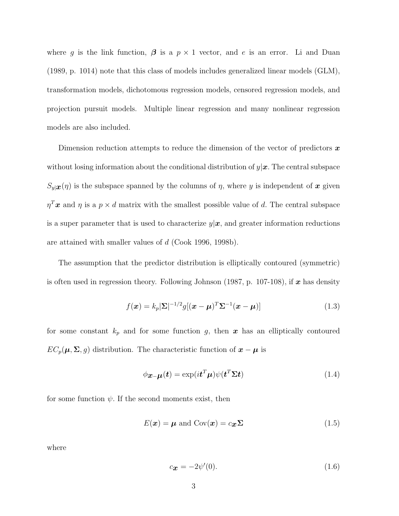where g is the link function,  $\beta$  is a  $p \times 1$  vector, and e is an error. Li and Duan (1989, p. 1014) note that this class of models includes generalized linear models (GLM), transformation models, dichotomous regression models, censored regression models, and projection pursuit models. Multiple linear regression and many nonlinear regression models are also included.

Dimension reduction attempts to reduce the dimension of the vector of predictors *x* without losing information about the conditional distribution of *y*|*x.* The central subspace  $S_y$ <sub> $|\mathcal{X}(n)|$ </sub> is the subspace spanned by the columns of *η*, where *y* is independent of *x* given  $\eta^T x$  and  $\eta$  is a  $p \times d$  matrix with the smallest possible value of *d*. The central subspace is a super parameter that is used to characterize  $y|x$ , and greater information reductions are attained with smaller values of *d* (Cook 1996, 1998b).

The assumption that the predictor distribution is elliptically contoured (symmetric) is often used in regression theory. Following Johnson (1987, p. 107-108), if *x* has density

$$
f(\boldsymbol{x}) = k_p |\boldsymbol{\Sigma}|^{-1/2} g[(\boldsymbol{x} - \boldsymbol{\mu})^T \boldsymbol{\Sigma}^{-1} (\boldsymbol{x} - \boldsymbol{\mu})]
$$
(1.3)

for some constant  $k_p$  and for some function *g*, then  $x$  has an elliptically contoured  $EC_p(\mu, \Sigma, g)$  distribution. The characteristic function of  $x - \mu$  is

$$
\phi_{\mathbf{x}-\mathbf{\mu}}(\mathbf{t}) = \exp(i\mathbf{t}^T\mathbf{\mu})\psi(\mathbf{t}^T\mathbf{\Sigma}\mathbf{t})
$$
\n(1.4)

for some function  $\psi$ . If the second moments exist, then

$$
E(\boldsymbol{x}) = \boldsymbol{\mu} \text{ and } \text{Cov}(\boldsymbol{x}) = c_{\boldsymbol{x}} \boldsymbol{\Sigma}
$$
\n(1.5)

where

$$
c_{\mathbf{x}} = -2\psi'(0). \tag{1.6}
$$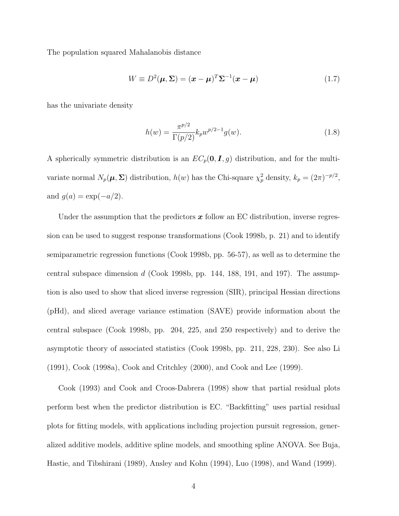The population squared Mahalanobis distance

$$
W \equiv D^2(\mu, \Sigma) = (\boldsymbol{x} - \boldsymbol{\mu})^T \Sigma^{-1} (\boldsymbol{x} - \boldsymbol{\mu}) \tag{1.7}
$$

has the univariate density

$$
h(w) = \frac{\pi^{p/2}}{\Gamma(p/2)} k_p w^{p/2 - 1} g(w).
$$
 (1.8)

A spherically symmetric distribution is an  $EC_p(0, I, g)$  distribution, and for the multivariate normal  $N_p(\mu, \Sigma)$  distribution,  $h(w)$  has the Chi-square  $\chi_p^2$  density,  $k_p = (2\pi)^{-p/2}$ , and  $g(a) = \exp(-a/2)$ .

Under the assumption that the predictors x follow an EC distribution, inverse regression can be used to suggest response transformations (Cook 1998b, p. 21) and to identify semiparametric regression functions (Cook 1998b, pp. 56-57), as well as to determine the central subspace dimension *d* (Cook 1998b, pp. 144, 188, 191, and 197). The assumption is also used to show that sliced inverse regression (SIR), principal Hessian directions (pHd), and sliced average variance estimation (SAVE) provide information about the central subspace (Cook 1998b, pp. 204, 225, and 250 respectively) and to derive the asymptotic theory of associated statistics (Cook 1998b, pp. 211, 228, 230). See also Li (1991), Cook (1998a), Cook and Critchley (2000), and Cook and Lee (1999).

Cook (1993) and Cook and Croos-Dabrera (1998) show that partial residual plots perform best when the predictor distribution is EC. "Backfitting" uses partial residual plots for fitting models, with applications including projection pursuit regression, generalized additive models, additive spline models, and smoothing spline ANOVA. See Buja, Hastie, and Tibshirani (1989), Ansley and Kohn (1994), Luo (1998), and Wand (1999).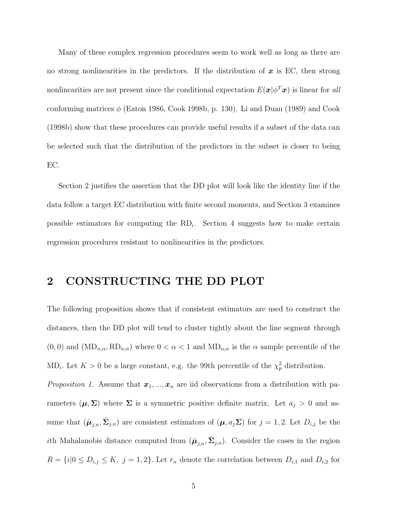Many of these complex regression procedures seem to work well as long as there are no strong nonlinearities in the predictors. If the distribution of *x* is EC, then strong nonlinearities are not present since the conditional expectation  $E(\mathbf{x}|\phi^T\mathbf{x})$  is linear for all conforming matrices  $\phi$  (Eaton 1986, Cook 1998b, p. 130). Li and Duan (1989) and Cook (1998b) show that these procedures can provide useful results if a subset of the data can be selected such that the distribution of the predictors in the subset is closer to being EC.

Section 2 justifies the assertion that the DD plot will look like the identity line if the data follow a target EC distribution with finite second moments, and Section 3 examines possible estimators for computing the  $RD_i$ . Section 4 suggests how to make certain regression procedures resistant to nonlinearities in the predictors.

### **2 CONSTRUCTING THE DD PLOT**

The following proposition shows that if consistent estimators are used to construct the distances, then the DD plot will tend to cluster tightly about the line segment through  $(0,0)$  and  $(MD_{n,\alpha}, RD_{n,\alpha})$  where  $0 < \alpha < 1$  and  $MD_{n,\alpha}$  is the  $\alpha$  sample percentile of the MD<sub>*i*</sub>. Let  $K > 0$  be a large constant, e.g. the 99th percentile of the  $\chi_p^2$  distribution.

*Proposition 1.* Assume that  $x_1, ..., x_n$  are iid observations from a distribution with parameters  $(\mu, \Sigma)$  where  $\Sigma$  is a symmetric positive definite matrix. Let  $a_j > 0$  and assume that  $(\hat{\boldsymbol{\mu}}_{j,n}, \hat{\boldsymbol{\Sigma}}_{j,n})$  are consistent estimators of  $(\boldsymbol{\mu}, a_j \boldsymbol{\Sigma})$  for  $j = 1, 2$ . Let  $D_{i,j}$  be the *i*th Mahalanobis distance computed from  $(\hat{\mu}_{j,n}, \hat{\Sigma}_{j,n})$ . Consider the cases in the region  $R = \{i | 0 \le D_{i,j} \le K, j = 1, 2\}$ . Let  $r_n$  denote the correlation between  $D_{i,1}$  and  $D_{i,2}$  for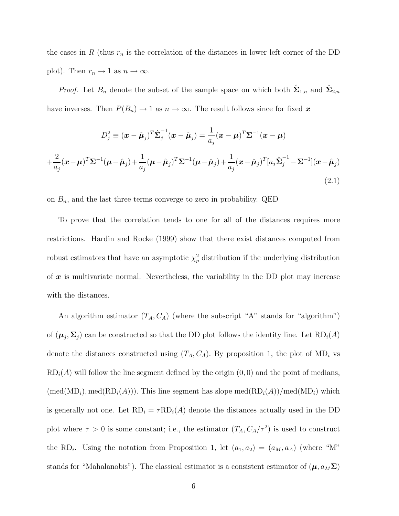the cases in  $R$  (thus  $r_n$  is the correlation of the distances in lower left corner of the DD plot). Then  $r_n \to 1$  as  $n \to \infty$ .

*Proof.* Let  $B_n$  denote the subset of the sample space on which both  $\hat{\Sigma}_{1,n}$  and  $\hat{\Sigma}_{2,n}$ have inverses. Then  $P(B_n) \to 1$  as  $n \to \infty$ . The result follows since for fixed *x* 

$$
D_j^2 \equiv (\boldsymbol{x} - \hat{\boldsymbol{\mu}}_j)^T \hat{\boldsymbol{\Sigma}}_j^{-1} (\boldsymbol{x} - \hat{\boldsymbol{\mu}}_j) = \frac{1}{a_j} (\boldsymbol{x} - \boldsymbol{\mu})^T \boldsymbol{\Sigma}^{-1} (\boldsymbol{x} - \boldsymbol{\mu})
$$

$$
+ \frac{2}{a_j} (\boldsymbol{x} - \boldsymbol{\mu})^T \boldsymbol{\Sigma}^{-1} (\boldsymbol{\mu} - \hat{\boldsymbol{\mu}}_j) + \frac{1}{a_j} (\boldsymbol{\mu} - \hat{\boldsymbol{\mu}}_j)^T \boldsymbol{\Sigma}^{-1} (\boldsymbol{\mu} - \hat{\boldsymbol{\mu}}_j) + \frac{1}{a_j} (\boldsymbol{x} - \hat{\boldsymbol{\mu}}_j)^T [a_j \hat{\boldsymbol{\Sigma}}_j^{-1} - \boldsymbol{\Sigma}^{-1}] (\boldsymbol{x} - \hat{\boldsymbol{\mu}}_j)
$$
(2.1)

on  $B_n$ , and the last three terms converge to zero in probability. QED

To prove that the correlation tends to one for all of the distances requires more restrictions. Hardin and Rocke (1999) show that there exist distances computed from robust estimators that have an asymptotic  $\chi_p^2$  distribution if the underlying distribution of *x* is multivariate normal. Nevertheless, the variability in the DD plot may increase with the distances.

An algorithm estimator  $(T_A, C_A)$  (where the subscript "A" stands for "algorithm") of  $(\mu_j, \Sigma_j)$  can be constructed so that the DD plot follows the identity line. Let  $RD_i(A)$ denote the distances constructed using  $(T_A, C_A)$ . By proposition 1, the plot of MD<sub>*i*</sub> vs RD*i*(*A*) will follow the line segment defined by the origin (0*,* 0) and the point of medians,  $(\text{med}(MD_i), \text{med}(RD_i(A)))$ . This line segment has slope  $\text{med}(RD_i(A))/\text{med}(MD_i)$  which is generally not one. Let  $RD_i = \tau RD_i(A)$  denote the distances actually used in the DD plot where  $\tau > 0$  is some constant; i.e., the estimator  $(T_A, C_A/\tau^2)$  is used to construct the RD<sub>*i*</sub>. Using the notation from Proposition 1, let  $(a_1, a_2)=(a_M, a_A)$  (where "M" stands for "Mahalanobis"). The classical estimator is a consistent estimator of  $(\mu, a_M \Sigma)$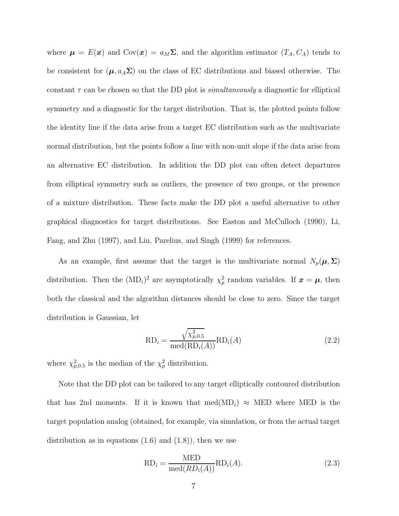where  $\mu = E(\mathbf{x})$  and  $Cov(\mathbf{x}) = a_M \Sigma$ , and the algorithm estimator  $(T_A, C_A)$  tends to be consistent for  $(\mu, a_A \Sigma)$  on the class of EC distributions and biased otherwise. The constant *τ* can be chosen so that the DD plot is *simultaneously* a diagnostic for elliptical symmetry and a diagnostic for the target distribution. That is, the plotted points follow the identity line if the data arise from a target EC distribution such as the multivariate normal distribution, but the points follow a line with non-unit slope if the data arise from an alternative EC distribution. In addition the DD plot can often detect departures from elliptical symmetry such as outliers, the presence of two groups, or the presence of a mixture distribution. These facts make the DD plot a useful alternative to other graphical diagnostics for target distributions. See Easton and McCulloch (1990), Li, Fang, and Zhu (1997), and Liu, Parelius, and Singh (1999) for references.

As an example, first assume that the target is the multivariate normal  $N_p(\mu, \Sigma)$ distribution. Then the  $(MD_i)^2$  are asymptotically  $\chi_p^2$  random variables. If  $x = \mu$ , then both the classical and the algorithm distances should be close to zero. Since the target distribution is Gaussian, let

$$
RD_i = \frac{\sqrt{\chi_{p,0.5}^2}}{\text{med}(RD_i(A))} RD_i(A)
$$
\n(2.2)

where  $\chi_{p,0.5}^2$  is the median of the  $\chi_p^2$  distribution.

Note that the DD plot can be tailored to any target elliptically contoured distribution that has 2nd moments. If it is known that med $(MD_i) \approx MED$  where MED is the target population analog (obtained, for example, via simulation, or from the actual target distribution as in equations  $(1.6)$  and  $(1.8)$ , then we use

$$
RD_i = \frac{MED}{med(RD_i(A))} RD_i(A).
$$
 (2.3)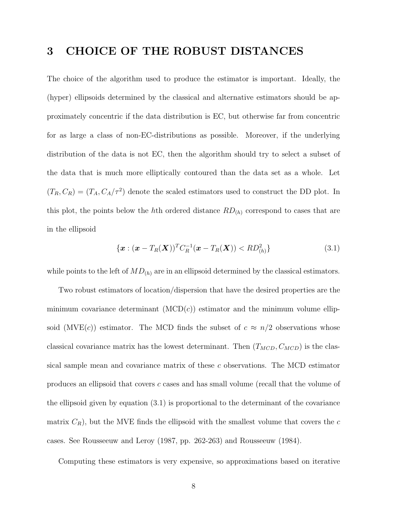### **3 CHOICE OF THE ROBUST DISTANCES**

The choice of the algorithm used to produce the estimator is important. Ideally, the (hyper) ellipsoids determined by the classical and alternative estimators should be approximately concentric if the data distribution is EC, but otherwise far from concentric for as large a class of non-EC-distributions as possible. Moreover, if the underlying distribution of the data is not EC, then the algorithm should try to select a subset of the data that is much more elliptically contoured than the data set as a whole. Let  $(T_R, C_R) = (T_A, C_A/\tau^2)$  denote the scaled estimators used to construct the DD plot. In this plot, the points below the *h*<sup>th</sup> ordered distance  $RD_{(h)}$  correspond to cases that are in the ellipsoid

$$
\{ \boldsymbol{x} : (\boldsymbol{x} - T_R(\boldsymbol{X}))^T C_R^{-1} (\boldsymbol{x} - T_R(\boldsymbol{X})) < R D_{(h)}^2 \} \tag{3.1}
$$

while points to the left of  $MD_{(h)}$  are in an ellipsoid determined by the classical estimators.

Two robust estimators of location/dispersion that have the desired properties are the minimum covariance determinant  $(MCD(c))$  estimator and the minimum volume ellipsoid (MVE $(c)$ ) estimator. The MCD finds the subset of  $c \approx n/2$  observations whose classical covariance matrix has the lowest determinant. Then  $(T_{MCD}, C_{MCD})$  is the classical sample mean and covariance matrix of these *c* observations. The MCD estimator produces an ellipsoid that covers *c* cases and has small volume (recall that the volume of the ellipsoid given by equation (3.1) is proportional to the determinant of the covariance matrix  $C_R$ ), but the MVE finds the ellipsoid with the smallest volume that covers the  $c$ cases. See Rousseeuw and Leroy (1987, pp. 262-263) and Rousseeuw (1984).

Computing these estimators is very expensive, so approximations based on iterative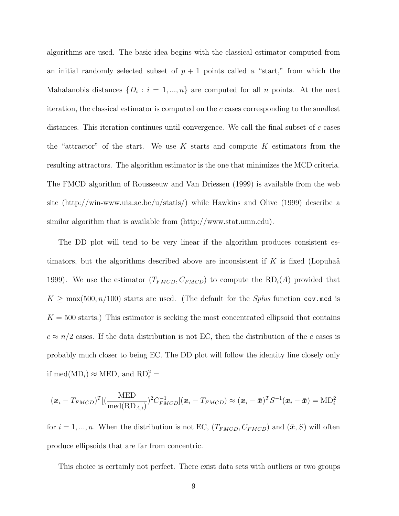algorithms are used. The basic idea begins with the classical estimator computed from an initial randomly selected subset of  $p + 1$  points called a "start," from which the Mahalanobis distances  $\{D_i : i = 1, ..., n\}$  are computed for all *n* points. At the next iteration, the classical estimator is computed on the *c* cases corresponding to the smallest distances. This iteration continues until convergence. We call the final subset of *c* cases the "attractor" of the start. We use *K* starts and compute *K* estimators from the resulting attractors. The algorithm estimator is the one that minimizes the MCD criteria. The FMCD algorithm of Rousseeuw and Van Driessen (1999) is available from the web site (http://win-www.uia.ac.be/u/statis/) while Hawkins and Olive (1999) describe a similar algorithm that is available from (http://www.stat.umn.edu).

The DD plot will tend to be very linear if the algorithm produces consistent estimators, but the algorithms described above are inconsistent if  $K$  is fixed (Lopuhaä 1999). We use the estimator  $(T_{FMCD}, C_{FMCD})$  to compute the  $RD_i(A)$  provided that  $K \geq \max(500, n/100)$  starts are used. (The default for the *Splus* function cov.mcd is  $K = 500$  starts.) This estimator is seeking the most concentrated ellipsoid that contains  $c \approx n/2$  cases. If the data distribution is not EC, then the distribution of the *c* cases is probably much closer to being EC. The DD plot will follow the identity line closely only if med( $MD<sub>i</sub>$ )  $\approx$  MED, and  $RD<sub>i</sub><sup>2</sup>$  =

$$
(\boldsymbol{x}_i-T_{FMCD})^T[(\frac{\mathrm{MED}}{\mathrm{med}(\mathrm{RD}_{A,i})})^2C_{FMCD}^{-1}](\boldsymbol{x}_i-T_{FMCD})\approx (\boldsymbol{x}_i-\bar{\boldsymbol{x}})^TS^{-1}(\boldsymbol{x}_i-\bar{\boldsymbol{x}})=\mathrm{MD}_i^2
$$

for  $i = 1, ..., n$ . When the distribution is not EC,  $(T_{FMCD}, C_{FMCD})$  and  $(\bar{\mathbf{x}}, S)$  will often produce ellipsoids that are far from concentric.

This choice is certainly not perfect. There exist data sets with outliers or two groups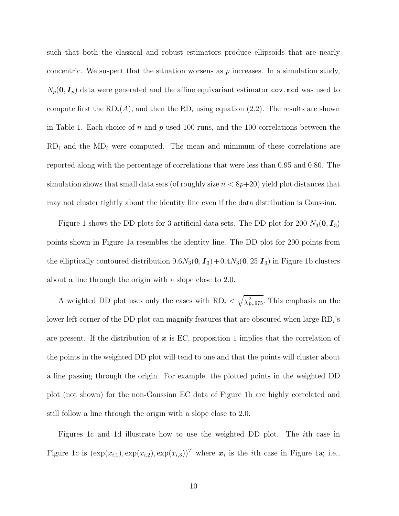such that both the classical and robust estimators produce ellipsoids that are nearly concentric. We suspect that the situation worsens as *p* increases. In a simulation study,  $N_p(\mathbf{0}, \mathbf{I}_p)$  data were generated and the affine equivariant estimator cov.mcd was used to compute first the  $RD<sub>i</sub>(A)$ , and then the  $RD<sub>i</sub>$  using equation (2.2). The results are shown in Table 1. Each choice of *n* and *p* used 100 runs, and the 100 correlations between the  $RD<sub>i</sub>$  and the  $MD<sub>i</sub>$  were computed. The mean and minimum of these correlations are reported along with the percentage of correlations that were less than 0.95 and 0.80. The simulation shows that small data sets (of roughly size  $n < 8p+20$ ) yield plot distances that may not cluster tightly about the identity line even if the data distribution is Gaussian.

Figure 1 shows the DD plots for 3 artificial data sets. The DD plot for 200  $N_3(\mathbf{0}, \mathbf{I}_3)$ points shown in Figure 1a resembles the identity line. The DD plot for 200 points from the elliptically contoured distribution  $0.6N_3(\mathbf{0}, \mathbf{I}_3)+0.4N_3(\mathbf{0}, 25 \mathbf{I}_3)$  in Figure 1b clusters about a line through the origin with a slope close to 2.0.

A weighted DD plot uses only the cases with  $RD_i < \sqrt{\chi^2_{p,975}}$ . This emphasis on the lower left corner of the DD plot can magnify features that are obscured when large RD*i*'s are present. If the distribution of *x* is EC, proposition 1 implies that the correlation of the points in the weighted DD plot will tend to one and that the points will cluster about a line passing through the origin. For example, the plotted points in the weighted DD plot (not shown) for the non-Gaussian EC data of Figure 1b are highly correlated and still follow a line through the origin with a slope close to 2.0.

Figures 1c and 1d illustrate how to use the weighted DD plot. The *i*th case in Figure 1c is  $(\exp(x_{i,1}), \exp(x_{i,2}), \exp(x_{i,3}))^T$  where  $x_i$  is the *i*th case in Figure 1a; i.e.,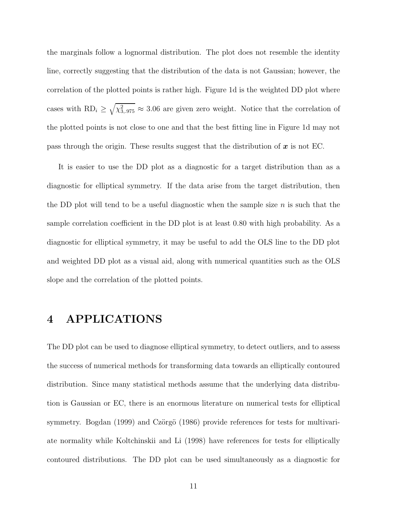the marginals follow a lognormal distribution. The plot does not resemble the identity line, correctly suggesting that the distribution of the data is not Gaussian; however, the correlation of the plotted points is rather high. Figure 1d is the weighted DD plot where cases with  $RD_i \geq \sqrt{\chi^2_{3,.975}} \approx 3.06$  are given zero weight. Notice that the correlation of the plotted points is not close to one and that the best fitting line in Figure 1d may not pass through the origin. These results suggest that the distribution of *x* is not EC.

It is easier to use the DD plot as a diagnostic for a target distribution than as a diagnostic for elliptical symmetry. If the data arise from the target distribution, then the DD plot will tend to be a useful diagnostic when the sample size *n* is such that the sample correlation coefficient in the DD plot is at least 0.80 with high probability. As a diagnostic for elliptical symmetry, it may be useful to add the OLS line to the DD plot and weighted DD plot as a visual aid, along with numerical quantities such as the OLS slope and the correlation of the plotted points.

### **4 APPLICATIONS**

The DD plot can be used to diagnose elliptical symmetry, to detect outliers, and to assess the success of numerical methods for transforming data towards an elliptically contoured distribution. Since many statistical methods assume that the underlying data distribution is Gaussian or EC, there is an enormous literature on numerical tests for elliptical symmetry. Bogdan (1999) and Czörgö (1986) provide references for tests for multivariate normality while Koltchinskii and Li (1998) have references for tests for elliptically contoured distributions. The DD plot can be used simultaneously as a diagnostic for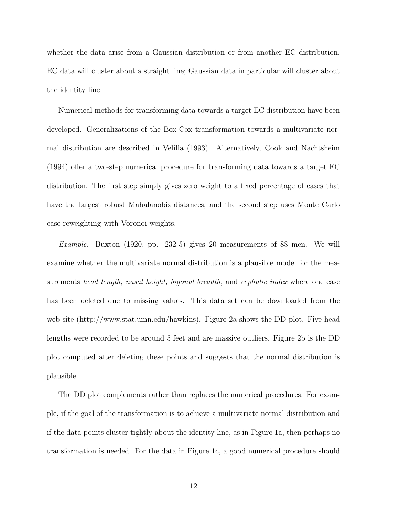whether the data arise from a Gaussian distribution or from another EC distribution. EC data will cluster about a straight line; Gaussian data in particular will cluster about the identity line.

Numerical methods for transforming data towards a target EC distribution have been developed. Generalizations of the Box-Cox transformation towards a multivariate normal distribution are described in Velilla (1993). Alternatively, Cook and Nachtsheim (1994) offer a two-step numerical procedure for transforming data towards a target EC distribution. The first step simply gives zero weight to a fixed percentage of cases that have the largest robust Mahalanobis distances, and the second step uses Monte Carlo case reweighting with Voronoi weights.

*Example.* Buxton (1920, pp. 232-5) gives 20 measurements of 88 men. We will examine whether the multivariate normal distribution is a plausible model for the measurements *head length, nasal height, bigonal breadth,* and *cephalic index* where one case has been deleted due to missing values. This data set can be downloaded from the web site (http://www.stat.umn.edu/hawkins). Figure 2a shows the DD plot. Five head lengths were recorded to be around 5 feet and are massive outliers. Figure 2b is the DD plot computed after deleting these points and suggests that the normal distribution is plausible.

The DD plot complements rather than replaces the numerical procedures. For example, if the goal of the transformation is to achieve a multivariate normal distribution and if the data points cluster tightly about the identity line, as in Figure 1a, then perhaps no transformation is needed. For the data in Figure 1c, a good numerical procedure should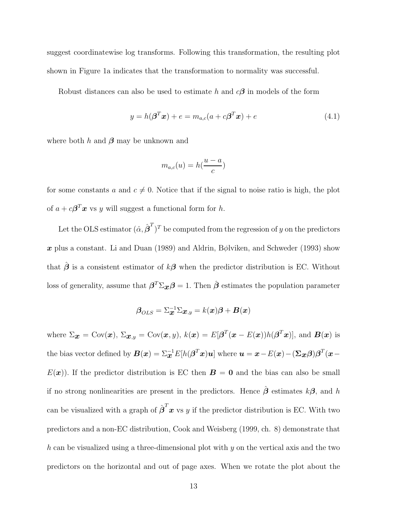suggest coordinatewise log transforms. Following this transformation, the resulting plot shown in Figure 1a indicates that the transformation to normality was successful.

Robust distances can also be used to estimate *h* and *cβ* in models of the form

$$
y = h(\boldsymbol{\beta}^T \boldsymbol{x}) + e = m_{a,c}(a + c\boldsymbol{\beta}^T \boldsymbol{x}) + e
$$
\n(4.1)

where both *h* and *β* may be unknown and

$$
m_{a,c}(u) = h(\frac{u-a}{c})
$$

for some constants *a* and  $c \neq 0$ . Notice that if the signal to noise ratio is high, the plot of  $a + c\beta^T x$  vs *y* will suggest a functional form for *h*.

Let the OLS estimator  $(\hat{\alpha}, \hat{\boldsymbol{\beta}}^T)^T$  be computed from the regression of *y* on the predictors *x* plus a constant. Li and Duan (1989) and Aldrin, B*φ*lviken, and Schweder (1993) show that  $\hat{\boldsymbol{\beta}}$  is a consistent estimator of  $k\boldsymbol{\beta}$  when the predictor distribution is EC. Without loss of generality, assume that  $\beta^T \Sigma_{\mathbf{x}} \beta = 1$ . Then  $\hat{\beta}$  estimates the population parameter

$$
\boldsymbol{\beta}_{OLS} = \Sigma_{\boldsymbol{x}}^{-1} \Sigma_{\boldsymbol{x},y} = k(\boldsymbol{x}) \boldsymbol{\beta} + \boldsymbol{B}(\boldsymbol{x})
$$

where  $\Sigma_{\mathbf{x}} = \text{Cov}(\mathbf{x})$ ,  $\Sigma_{\mathbf{x},y} = \text{Cov}(\mathbf{x},y)$ ,  $k(\mathbf{x}) = E[\boldsymbol{\beta}^T(\mathbf{x} - E(\mathbf{x}))h(\boldsymbol{\beta}^T\mathbf{x})]$ , and  $\mathbf{B}(\mathbf{x})$  is the bias vector defined by  $\bm{B}(\bm{x}) = \sum_{\bm{x}}^{-1} E[h(\bm{\beta}^T\bm{x})\bm{u}]$  where  $\bm{u} = \bm{x} - E(\bm{x}) - (\bm{\Sigma}_{\bm{x}}\bm{\beta})\bm{\beta}^T(\bm{x} - \bm{x})$  $E(\mathbf{x})$ ). If the predictor distribution is EC then  $\mathbf{B} = \mathbf{0}$  and the bias can also be small if no strong nonlinearities are present in the predictors. Hence *β*ˆ estimates *kβ,* and *h* can be visualized with a graph of  $\hat{\boldsymbol{\beta}}^T \boldsymbol{x}$  vs *y* if the predictor distribution is EC. With two predictors and a non-EC distribution, Cook and Weisberg (1999, ch. 8) demonstrate that *h* can be visualized using a three-dimensional plot with *y* on the vertical axis and the two predictors on the horizontal and out of page axes. When we rotate the plot about the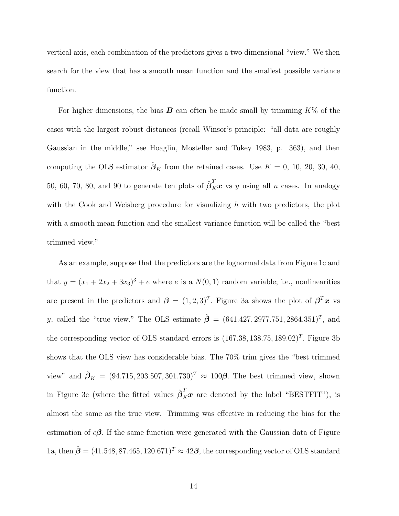vertical axis, each combination of the predictors gives a two dimensional "view." We then search for the view that has a smooth mean function and the smallest possible variance function.

For higher dimensions, the bias *B* can often be made small by trimming *K*% of the cases with the largest robust distances (recall Winsor's principle: "all data are roughly Gaussian in the middle," see Hoaglin, Mosteller and Tukey 1983, p. 363), and then computing the OLS estimator  $\hat{\boldsymbol{\beta}}_K$  from the retained cases. Use  $K = 0, 10, 20, 30, 40,$ 50, 60, 70, 80, and 90 to generate ten plots of  $\hat{\beta}_K^T x$  vs *y* using all *n* cases. In analogy with the Cook and Weisberg procedure for visualizing *h* with two predictors, the plot with a smooth mean function and the smallest variance function will be called the "best trimmed view."

As an example, suppose that the predictors are the lognormal data from Figure 1c and that  $y = (x_1 + 2x_2 + 3x_3)^3 + e$  where *e* is a  $N(0, 1)$  random variable; i.e., nonlinearities are present in the predictors and  $\boldsymbol{\beta} = (1, 2, 3)^T$ . Figure 3a shows the plot of  $\boldsymbol{\beta}^T \boldsymbol{x}$  vs *y*, called the "true view." The OLS estimate  $\hat{\boldsymbol{\beta}} = (641.427, 2977.751, 2864.351)^T$ , and the corresponding vector of OLS standard errors is  $(167.38, 138.75, 189.02)^T$ . Figure 3b shows that the OLS view has considerable bias. The 70% trim gives the "best trimmed view" and  $\hat{\beta}_K = (94.715, 203.507, 301.730)^T \approx 100\beta$ . The best trimmed view, shown in Figure 3c (where the fitted values  $\hat{\boldsymbol{\beta}}_K^T \boldsymbol{x}$  are denoted by the label "BESTFIT"), is almost the same as the true view. Trimming was effective in reducing the bias for the estimation of  $c\beta$ . If the same function were generated with the Gaussian data of Figure 1a, then  $\hat{\boldsymbol{\beta}} = (41.548, 87.465, 120.671)^T \approx 42\boldsymbol{\beta}$ , the corresponding vector of OLS standard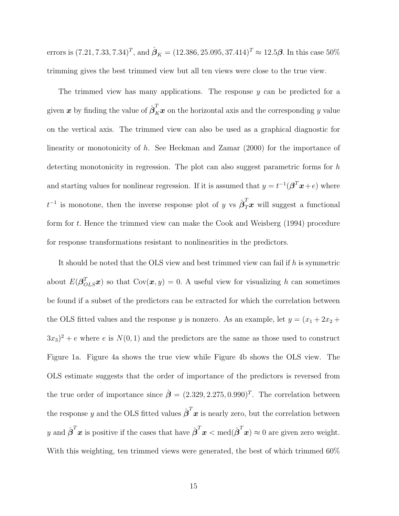errors is  $(7.21, 7.33, 7.34)^T$ , and  $\hat{\beta}_K = (12.386, 25.095, 37.414)^T \approx 12.5\beta$ . In this case 50% trimming gives the best trimmed view but all ten views were close to the true view.

The trimmed view has many applications. The response *y* can be predicted for a given  $\bm{x}$  by finding the value of  $\hat{\bm{\beta}}_K^T\bm{x}$  on the horizontal axis and the corresponding  $y$  value on the vertical axis. The trimmed view can also be used as a graphical diagnostic for linearity or monotonicity of *h*. See Heckman and Zamar (2000) for the importance of detecting monotonicity in regression. The plot can also suggest parametric forms for *h* and starting values for nonlinear regression. If it is assumed that  $y = t^{-1}(\beta^T x + e)$  where  $t^{-1}$  is monotone, then the inverse response plot of *y* vs  $\hat{\boldsymbol{\beta}}_T^T \boldsymbol{x}$  will suggest a functional form for *t.* Hence the trimmed view can make the Cook and Weisberg (1994) procedure for response transformations resistant to nonlinearities in the predictors.

It should be noted that the OLS view and best trimmed view can fail if *h* is symmetric about  $E(\boldsymbol{\beta}_{OLS}^T{\boldsymbol{x}})$  so that  $Cov({\boldsymbol{x}}, y) = 0$ . A useful view for visualizing *h* can sometimes be found if a subset of the predictors can be extracted for which the correlation between the OLS fitted values and the response *y* is nonzero. As an example, let  $y = (x_1 + 2x_2 +$  $(3x_3)^2 + e$  where *e* is  $N(0, 1)$  and the predictors are the same as those used to construct Figure 1a. Figure 4a shows the true view while Figure 4b shows the OLS view. The OLS estimate suggests that the order of importance of the predictors is reversed from the true order of importance since  $\hat{\boldsymbol{\beta}} = (2.329, 2.275, 0.990)^T$ . The correlation between the response *y* and the OLS fitted values  $\hat{\boldsymbol{\beta}}^T \boldsymbol{x}$  is nearly zero, but the correlation between *y* and  $\hat{\boldsymbol{\beta}}^T \boldsymbol{x}$  is positive if the cases that have  $\hat{\boldsymbol{\beta}}^T \boldsymbol{x} < \text{med}(\hat{\boldsymbol{\beta}}^T \boldsymbol{x}) \approx 0$  are given zero weight. With this weighting, ten trimmed views were generated, the best of which trimmed 60%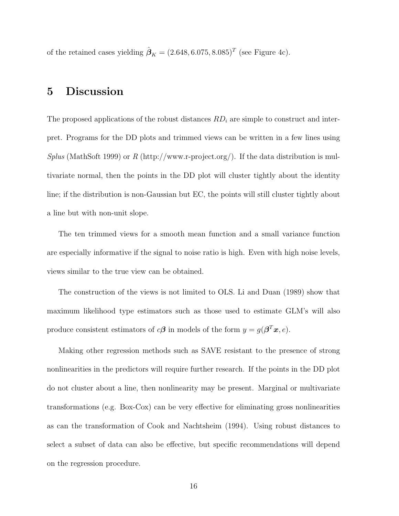of the retained cases yielding  $\hat{\beta}_K = (2.648, 6.075, 8.085)^T$  (see Figure 4c).

### **5 Discussion**

The proposed applications of the robust distances *RD<sup>i</sup>* are simple to construct and interpret. Programs for the DD plots and trimmed views can be written in a few lines using *Splus* (MathSoft 1999) or *R* (http://www.r-project.org/). If the data distribution is multivariate normal, then the points in the DD plot will cluster tightly about the identity line; if the distribution is non-Gaussian but EC, the points will still cluster tightly about a line but with non-unit slope.

The ten trimmed views for a smooth mean function and a small variance function are especially informative if the signal to noise ratio is high. Even with high noise levels, views similar to the true view can be obtained.

The construction of the views is not limited to OLS. Li and Duan (1989) show that maximum likelihood type estimators such as those used to estimate GLM's will also produce consistent estimators of  $c\beta$  in models of the form  $y = g(\beta^T x, e)$ *.* 

Making other regression methods such as SAVE resistant to the presence of strong nonlinearities in the predictors will require further research. If the points in the DD plot do not cluster about a line, then nonlinearity may be present. Marginal or multivariate transformations (e.g. Box-Cox) can be very effective for eliminating gross nonlinearities as can the transformation of Cook and Nachtsheim (1994). Using robust distances to select a subset of data can also be effective, but specific recommendations will depend on the regression procedure.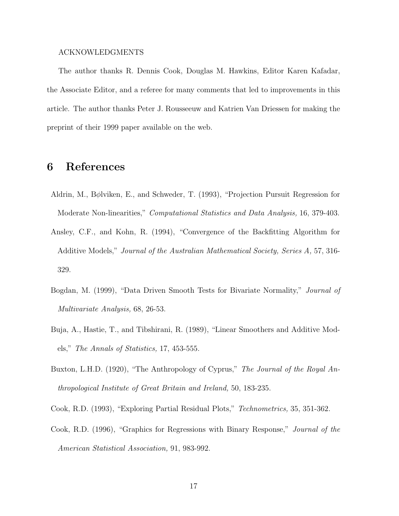#### ACKNOWLEDGMENTS

The author thanks R. Dennis Cook, Douglas M. Hawkins, Editor Karen Kafadar, the Associate Editor, and a referee for many comments that led to improvements in this article. The author thanks Peter J. Rousseeuw and Katrien Van Driessen for making the preprint of their 1999 paper available on the web.

#### **6 References**

- Aldrin, M., B*φ*lviken, E., and Schweder, T. (1993), "Projection Pursuit Regression for Moderate Non-linearities," *Computational Statistics and Data Analysis,* 16, 379-403.
- Ansley, C.F., and Kohn, R. (1994), "Convergence of the Backfitting Algorithm for Additive Models," *Journal of the Australian Mathematical Society, Series A,* 57, 316- 329.
- Bogdan, M. (1999), "Data Driven Smooth Tests for Bivariate Normality," *Journal of Multivariate Analysis,* 68, 26-53.
- Buja, A., Hastie, T., and Tibshirani, R. (1989), "Linear Smoothers and Additive Models," *The Annals of Statistics,* 17, 453-555.
- Buxton, L.H.D. (1920), "The Anthropology of Cyprus," *The Journal of the Royal Anthropological Institute of Great Britain and Ireland,* 50, 183-235.
- Cook, R.D. (1993), "Exploring Partial Residual Plots," *Technometrics,* 35, 351-362.
- Cook, R.D. (1996), "Graphics for Regressions with Binary Response," *Journal of the American Statistical Association,* 91, 983-992.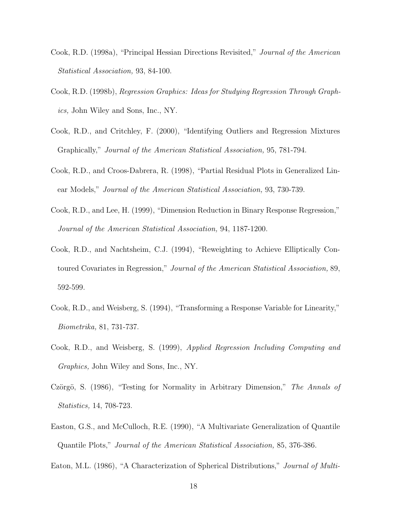- Cook, R.D. (1998a), "Principal Hessian Directions Revisited," *Journal of the American Statistical Association,* 93, 84-100.
- Cook, R.D. (1998b), *Regression Graphics: Ideas for Studying Regression Through Graphics,* John Wiley and Sons, Inc., NY.
- Cook, R.D., and Critchley, F. (2000), "Identifying Outliers and Regression Mixtures Graphically," *Journal of the American Statistical Association,* 95, 781-794.
- Cook, R.D., and Croos-Dabrera, R. (1998), "Partial Residual Plots in Generalized Linear Models," *Journal of the American Statistical Association,* 93, 730-739.
- Cook, R.D., and Lee, H. (1999), "Dimension Reduction in Binary Response Regression," *Journal of the American Statistical Association,* 94, 1187-1200.
- Cook, R.D., and Nachtsheim, C.J. (1994), "Reweighting to Achieve Elliptically Contoured Covariates in Regression," *Journal of the American Statistical Association,* 89, 592-599.
- Cook, R.D., and Weisberg, S. (1994), "Transforming a Response Variable for Linearity," *Biometrika,* 81, 731-737.
- Cook, R.D., and Weisberg, S. (1999), *Applied Regression Including Computing and Graphics,* John Wiley and Sons, Inc., NY.
- Czörgö, S. (1986), "Testing for Normality in Arbitrary Dimension," *The Annals of Statistics,* 14, 708-723.
- Easton, G.S., and McCulloch, R.E. (1990), "A Multivariate Generalization of Quantile Quantile Plots," *Journal of the American Statistical Association,* 85, 376-386.

Eaton, M.L. (1986), "A Characterization of Spherical Distributions," *Journal of Multi-*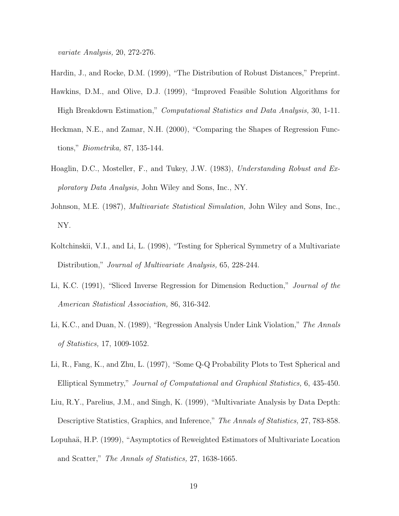*variate Analysis,* 20, 272-276.

- Hardin, J., and Rocke, D.M. (1999), "The Distribution of Robust Distances," Preprint.
- Hawkins, D.M., and Olive, D.J. (1999), "Improved Feasible Solution Algorithms for High Breakdown Estimation," *Computational Statistics and Data Analysis,* 30, 1-11.
- Heckman, N.E., and Zamar, N.H. (2000), "Comparing the Shapes of Regression Functions," *Biometrika,* 87, 135-144.
- Hoaglin, D.C., Mosteller, F., and Tukey, J.W. (1983), *Understanding Robust and Exploratory Data Analysis,* John Wiley and Sons, Inc., NY.
- Johnson, M.E. (1987), *Multivariate Statistical Simulation,* John Wiley and Sons, Inc., NY.
- Koltchinskii, V.I., and Li, L. (1998), "Testing for Spherical Symmetry of a Multivariate Distribution," *Journal of Multivariate Analysis,* 65, 228-244.
- Li, K.C. (1991), "Sliced Inverse Regression for Dimension Reduction," *Journal of the American Statistical Association,* 86, 316-342.
- Li, K.C., and Duan, N. (1989), "Regression Analysis Under Link Violation," *The Annals of Statistics,* 17, 1009-1052.
- Li, R., Fang, K., and Zhu, L. (1997), "Some Q-Q Probability Plots to Test Spherical and Elliptical Symmetry," *Journal of Computational and Graphical Statistics,* 6, 435-450.
- Liu, R.Y., Parelius, J.M., and Singh, K. (1999), "Multivariate Analysis by Data Depth: Descriptive Statistics, Graphics, and Inference," *The Annals of Statistics,* 27, 783-858.
- Lopuhaä, H.P. (1999), "Asymptotics of Reweighted Estimators of Multivariate Location and Scatter," *The Annals of Statistics,* 27, 1638-1665.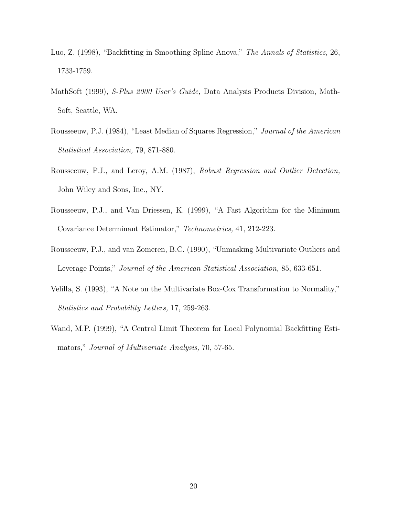- Luo, Z. (1998), "Backfitting in Smoothing Spline Anova," *The Annals of Statistics,* 26, 1733-1759.
- MathSoft (1999), *S-Plus 2000 User's Guide,* Data Analysis Products Division, Math-Soft, Seattle, WA.
- Rousseeuw, P.J. (1984), "Least Median of Squares Regression," *Journal of the American Statistical Association,* 79, 871-880.
- Rousseeuw, P.J., and Leroy, A.M. (1987), *Robust Regression and Outlier Detection,* John Wiley and Sons, Inc., NY.
- Rousseeuw, P.J., and Van Driessen, K. (1999), "A Fast Algorithm for the Minimum Covariance Determinant Estimator," *Technometrics,* 41, 212-223.
- Rousseeuw, P.J., and van Zomeren, B.C. (1990), "Unmasking Multivariate Outliers and Leverage Points," *Journal of the American Statistical Association,* 85, 633-651.
- Velilla, S. (1993), "A Note on the Multivariate Box-Cox Transformation to Normality," *Statistics and Probability Letters,* 17, 259-263.
- Wand, M.P. (1999), "A Central Limit Theorem for Local Polynomial Backfitting Estimators," *Journal of Multivariate Analysis,* 70, 57-65.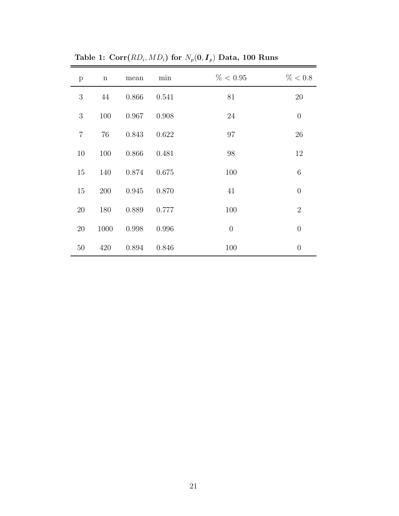| $\mathbf{p}$   | $\mathbf n$ | mean  | min   | $\% < 0.95$    | % < 0.8        |
|----------------|-------------|-------|-------|----------------|----------------|
| 3              | 44          | 0.866 | 0.541 | 81             | $20\,$         |
| 3              | 100         | 0.967 | 0.908 | 24             | $\theta$       |
| $\overline{7}$ | 76          | 0.843 | 0.622 | 97             | 26             |
| 10             | 100         | 0.866 | 0.481 | 98             | 12             |
| 15             | 140         | 0.874 | 0.675 | 100            | $\overline{6}$ |
| 15             | 200         | 0.945 | 0.870 | 41             | $\theta$       |
| 20             | 180         | 0.889 | 0.777 | 100            | $\overline{2}$ |
| $20\,$         | 1000        | 0.998 | 0.996 | $\overline{0}$ | $\theta$       |
| 50             | 420         | 0.894 | 0.846 | 100            | $\overline{0}$ |

Table 1:  $Corr(RD_i, MD_i)$  for  $N_p(0, I_p)$  Data, 100 Runs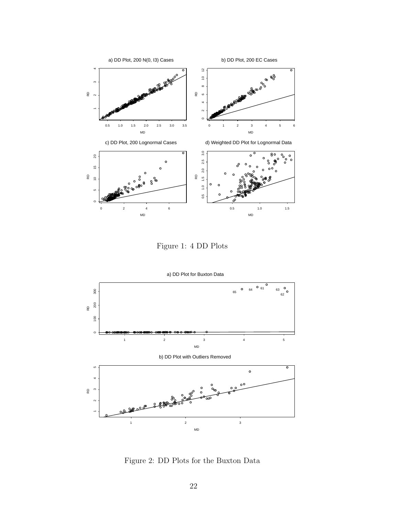

Figure 1: 4 DD Plots



Figure 2: DD Plots for the Buxton Data